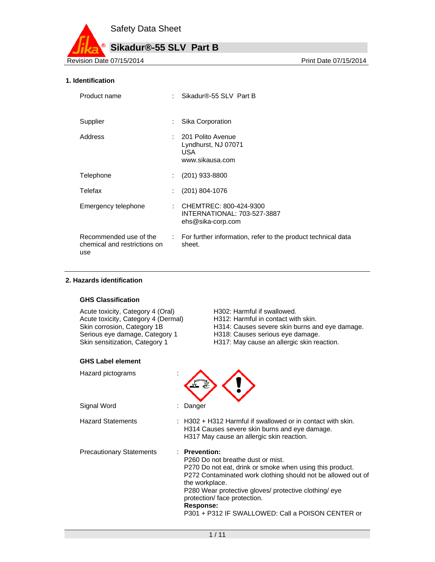

## **1. Identification**

| Product name                        | Sikadur®-55 SLV Part B                                                                          |  |
|-------------------------------------|-------------------------------------------------------------------------------------------------|--|
| Supplier                            | Sika Corporation                                                                                |  |
| Address                             | : 201 Polito Avenue<br>Lyndhurst, NJ 07071<br>USA.<br>www.sikausa.com                           |  |
| Telephone                           | $(201)$ 933-8800                                                                                |  |
| Telefax                             | $(201)$ 804-1076                                                                                |  |
| Emergency telephone                 | : CHEMTREC: 800-424-9300<br>INTERNATIONAL: 703-527-3887<br>ehs@sika-corp.com                    |  |
| chemical and restrictions on<br>use | Recommended use of the : For further information, refer to the product technical data<br>sheet. |  |

#### **2. Hazards identification**

#### **GHS Classification**

Acute toxicity, Category 4 (Oral) H302: Harmful if swallowed. Serious eye damage, Category 1 H318: Causes serious eye damage.<br>
Skin sensitization, Category 1 H317: May cause an allergic skin rea

### **GHS Label element**

Hazard pictograms :

Signal Word : Danger

Hazard Statements

- Acute toxicity, Category 4 (Dermal) H312: Harmful in contact with skin.<br>
Skin corrosion, Category 1B H314: Causes severe skin burns are H314: Causes severe skin burns and eye damage.
	-
	- H317: May cause an allergic skin reaction.



| $\pm$ H302 + H312 Harmful if swallowed or in contact with skin. |
|-----------------------------------------------------------------|
| H314 Causes severe skin burns and eye damage.                   |
| H317 May cause an allergic skin reaction.                       |

Precautionary Statements : **Prevention:** 

P260 Do not breathe dust or mist.

P270 Do not eat, drink or smoke when using this product. P272 Contaminated work clothing should not be allowed out of the workplace.

P280 Wear protective gloves/ protective clothing/ eye protection/ face protection.

#### **Response:**

P301 + P312 IF SWALLOWED: Call a POISON CENTER or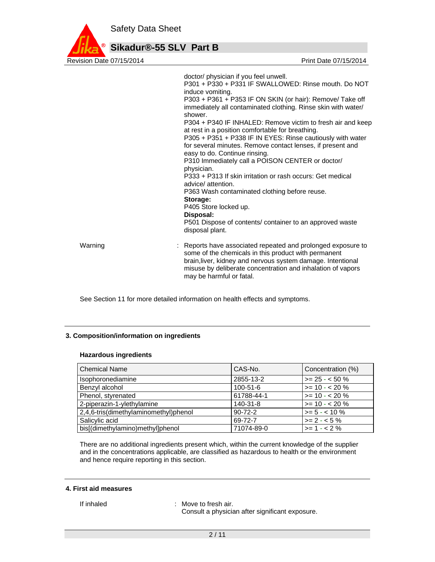

doctor/ physician if you feel unwell. P301 + P330 + P331 IF SWALLOWED: Rinse mouth. Do NOT induce vomiting. P303 + P361 + P353 IF ON SKIN (or hair): Remove/ Take off immediately all contaminated clothing. Rinse skin with water/ shower. P304 + P340 IF INHALED: Remove victim to fresh air and keep at rest in a position comfortable for breathing. P305 + P351 + P338 IF IN EYES: Rinse cautiously with water for several minutes. Remove contact lenses, if present and easy to do. Continue rinsing. P310 Immediately call a POISON CENTER or doctor/ physician. P333 + P313 If skin irritation or rash occurs: Get medical advice/ attention. P363 Wash contaminated clothing before reuse. **Storage:**  P405 Store locked up. **Disposal:**  P501 Dispose of contents/ container to an approved waste disposal plant. Warning **Example 20 Starts 1 and 20 Starts 1 and 2** : Reports have associated repeated and prolonged exposure to some of the chemicals in this product with permanent brain,liver, kidney and nervous system damage. Intentional misuse by deliberate concentration and inhalation of vapors may be harmful or fatal.

See Section 11 for more detailed information on health effects and symptoms.

### **3. Composition/information on ingredients**

#### **Hazardous ingredients**

| l Chemical Name                       | CAS-No.        | Concentration (%)   |
|---------------------------------------|----------------|---------------------|
| Isophoronediamine                     | 2855-13-2      | $>= 25 - 50 \%$     |
| Benzyl alcohol                        | $100 - 51 - 6$ | $\ge$ = 10 - < 20 % |
| Phenol, styrenated                    | 61788-44-1     | $\ge$ = 10 - < 20 % |
| 2-piperazin-1-ylethylamine            | $140-31-8$     | $\ge$ = 10 - < 20 % |
| 2,4,6-tris(dimethylaminomethyl)phenol | $90 - 72 - 2$  | $>= 5 - < 10 \%$    |
| Salicylic acid                        | 69-72-7        | $>= 2 - 5\%$        |
| bis[(dimethylamino)methyl]phenol      | 71074-89-0     | $>= 1 - 2%$         |

There are no additional ingredients present which, within the current knowledge of the supplier and in the concentrations applicable, are classified as hazardous to health or the environment and hence require reporting in this section.

#### **4. First aid measures**

If inhaled : Move to fresh air. Consult a physician after significant exposure.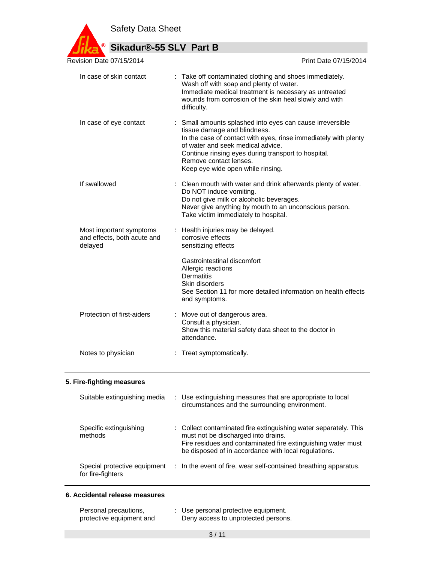Safety Data Sheet



# **Sikadur®-55 SLV Part B**

| Revision Date 07/15/2014                                          | Print Date 07/15/2014                                                                                                                                                                                                                                                                                                   |
|-------------------------------------------------------------------|-------------------------------------------------------------------------------------------------------------------------------------------------------------------------------------------------------------------------------------------------------------------------------------------------------------------------|
| In case of skin contact                                           | : Take off contaminated clothing and shoes immediately.<br>Wash off with soap and plenty of water.<br>Immediate medical treatment is necessary as untreated<br>wounds from corrosion of the skin heal slowly and with<br>difficulty.                                                                                    |
| In case of eye contact                                            | : Small amounts splashed into eyes can cause irreversible<br>tissue damage and blindness.<br>In the case of contact with eyes, rinse immediately with plenty<br>of water and seek medical advice.<br>Continue rinsing eyes during transport to hospital.<br>Remove contact lenses.<br>Keep eye wide open while rinsing. |
| If swallowed                                                      | : Clean mouth with water and drink afterwards plenty of water.<br>Do NOT induce vomiting.<br>Do not give milk or alcoholic beverages.<br>Never give anything by mouth to an unconscious person.<br>Take victim immediately to hospital.                                                                                 |
| Most important symptoms<br>and effects, both acute and<br>delayed | : Health injuries may be delayed.<br>corrosive effects<br>sensitizing effects                                                                                                                                                                                                                                           |
|                                                                   | Gastrointestinal discomfort<br>Allergic reactions<br><b>Dermatitis</b><br>Skin disorders<br>See Section 11 for more detailed information on health effects<br>and symptoms.                                                                                                                                             |
| Protection of first-aiders                                        | : Move out of dangerous area.<br>Consult a physician.<br>Show this material safety data sheet to the doctor in<br>attendance.                                                                                                                                                                                           |
| Notes to physician                                                | : Treat symptomatically.                                                                                                                                                                                                                                                                                                |
|                                                                   |                                                                                                                                                                                                                                                                                                                         |

# **5. Fire-fighting measures**

| Suitable extinguishing media                      | : Use extinguishing measures that are appropriate to local<br>circumstances and the surrounding environment.                                                                                                                    |
|---------------------------------------------------|---------------------------------------------------------------------------------------------------------------------------------------------------------------------------------------------------------------------------------|
| Specific extinguishing<br>methods                 | : Collect contaminated fire extinguishing water separately. This<br>must not be discharged into drains.<br>Fire residues and contaminated fire extinguishing water must<br>be disposed of in accordance with local regulations. |
| Special protective equipment<br>for fire-fighters | : In the event of fire, wear self-contained breathing apparatus.                                                                                                                                                                |

# **6. Accidental release measures**

| Personal precautions,    | : Use personal protective equipment. |
|--------------------------|--------------------------------------|
| protective equipment and | Deny access to unprotected persons.  |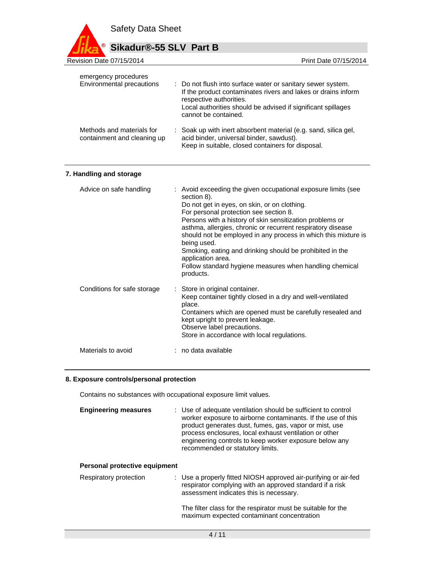Safety Data Sheet **Sikadur®-55 SLV Part B** Revision Date 07/15/2014 Print Date 07/15/2014

| emergency procedures<br>Environmental precautions        | : Do not flush into surface water or sanitary sewer system.<br>If the product contaminates rivers and lakes or drains inform<br>respective authorities.<br>Local authorities should be advised if significant spillages<br>cannot be contained. |
|----------------------------------------------------------|-------------------------------------------------------------------------------------------------------------------------------------------------------------------------------------------------------------------------------------------------|
| Methods and materials for<br>containment and cleaning up | : Soak up with inert absorbent material (e.g. sand, silica gel,<br>acid binder, universal binder, sawdust).<br>Keep in suitable, closed containers for disposal.                                                                                |

## **7. Handling and storage**

| Advice on safe handling     | : Avoid exceeding the given occupational exposure limits (see<br>section 8).<br>Do not get in eyes, on skin, or on clothing.<br>For personal protection see section 8.<br>Persons with a history of skin sensitization problems or<br>asthma, allergies, chronic or recurrent respiratory disease<br>should not be employed in any process in which this mixture is<br>being used.<br>Smoking, eating and drinking should be prohibited in the<br>application area.<br>Follow standard hygiene measures when handling chemical<br>products. |
|-----------------------------|---------------------------------------------------------------------------------------------------------------------------------------------------------------------------------------------------------------------------------------------------------------------------------------------------------------------------------------------------------------------------------------------------------------------------------------------------------------------------------------------------------------------------------------------|
| Conditions for safe storage | : Store in original container.<br>Keep container tightly closed in a dry and well-ventilated<br>place.<br>Containers which are opened must be carefully resealed and<br>kept upright to prevent leakage.<br>Observe label precautions.<br>Store in accordance with local regulations.                                                                                                                                                                                                                                                       |
| Materials to avoid          | no data available                                                                                                                                                                                                                                                                                                                                                                                                                                                                                                                           |

# **8. Exposure controls/personal protection**

Contains no substances with occupational exposure limit values.

| <b>Engineering measures</b> | : Use of adequate ventilation should be sufficient to control<br>worker exposure to airborne contaminants. If the use of this<br>product generates dust, fumes, gas, vapor or mist, use<br>process enclosures, local exhaust ventilation or other<br>engineering controls to keep worker exposure below any<br>recommended or statutory limits. |
|-----------------------------|-------------------------------------------------------------------------------------------------------------------------------------------------------------------------------------------------------------------------------------------------------------------------------------------------------------------------------------------------|
|                             |                                                                                                                                                                                                                                                                                                                                                 |

# **Personal protective equipment**

| Respiratory protection | : Use a properly fitted NIOSH approved air-purifying or air-fed<br>respirator complying with an approved standard if a risk<br>assessment indicates this is necessary. |
|------------------------|------------------------------------------------------------------------------------------------------------------------------------------------------------------------|
|                        | The filter class for the respirator must be suitable for the<br>maximum expected contaminant concentration                                                             |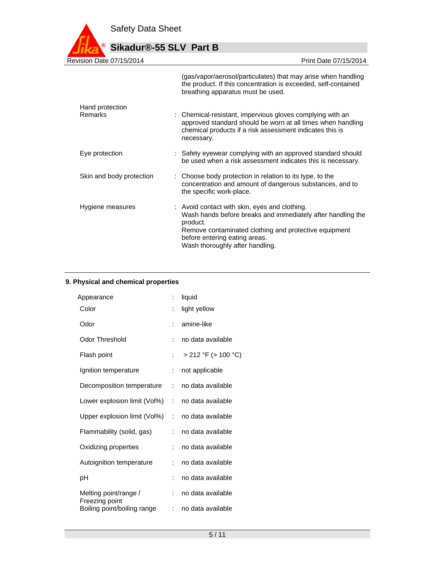

| $750011$ Date $0171372014$ | FIIIIL DAIU VII I SIZUT <del>4</del>                                                                                                                                                                                                                  |
|----------------------------|-------------------------------------------------------------------------------------------------------------------------------------------------------------------------------------------------------------------------------------------------------|
|                            | (gas/vapor/aerosol/particulates) that may arise when handling<br>the product. If this concentration is exceeded, self-contained<br>breathing apparatus must be used.                                                                                  |
| Hand protection            |                                                                                                                                                                                                                                                       |
| Remarks                    | : Chemical-resistant, impervious gloves complying with an<br>approved standard should be worn at all times when handling<br>chemical products if a risk assessment indicates this is<br>necessary.                                                    |
| Eye protection             | : Safety eyewear complying with an approved standard should<br>be used when a risk assessment indicates this is necessary.                                                                                                                            |
| Skin and body protection   | : Choose body protection in relation to its type, to the<br>concentration and amount of dangerous substances, and to<br>the specific work-place.                                                                                                      |
| Hygiene measures           | : Avoid contact with skin, eyes and clothing.<br>Wash hands before breaks and immediately after handling the<br>product.<br>Remove contaminated clothing and protective equipment<br>before entering eating areas.<br>Wash thoroughly after handling. |

# **9. Physical and chemical properties**

| Appearance                              | ÷  | liquid                   |
|-----------------------------------------|----|--------------------------|
| Color                                   |    | light yellow             |
| Odor                                    | ÷  | amine-like               |
| Odor Threshold                          | ÷  | no data available        |
| Flash point                             | ÷  | $> 212$ °F ( $> 100$ °C) |
| Ignition temperature                    | ÷. | not applicable           |
| Decomposition temperature               | t. | no data available        |
| Lower explosion limit (Vol%)            | ÷  | no data available        |
| Upper explosion limit (Vol%)            | ÷  | no data available        |
| Flammability (solid, gas)               | t. | no data available        |
| Oxidizing properties                    | ÷  | no data available        |
| Autoignition temperature                | ÷  | no data available        |
| рH                                      |    | no data available        |
| Melting point/range /<br>Freezing point | ÷  | no data available        |
| Boiling point/boiling range             | t. | no data available        |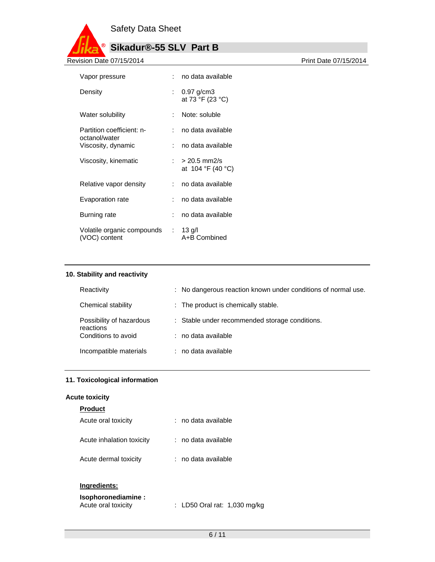

| Vapor pressure                                       | : no data available                   |
|------------------------------------------------------|---------------------------------------|
| Density                                              | : $0.97$ g/cm3<br>at 73 °F (23 °C)    |
| Water solubility                                     | : Note: soluble                       |
| Partition coefficient: n-<br>octanol/water           | : no data available                   |
| Viscosity, dynamic                                   | : no data available                   |
| Viscosity, kinematic                                 | $: > 20.5$ mm2/s<br>at 104 °F (40 °C) |
| Relative vapor density                               | : no data available                   |
| Evaporation rate                                     | : no data available                   |
| Burning rate                                         | : no data available                   |
| Volatile organic compounds : 13 g/l<br>(VOC) content | A+B Combined                          |
|                                                      |                                       |

# **10. Stability and reactivity**

| Reactivity                                                   | : No dangerous reaction known under conditions of normal use. |
|--------------------------------------------------------------|---------------------------------------------------------------|
| Chemical stability                                           | : The product is chemically stable.                           |
| Possibility of hazardous<br>reactions<br>Conditions to avoid | : Stable under recommended storage conditions.                |
|                                                              | : no data available                                           |
| Incompatible materials                                       | : no data available                                           |

# **11. Toxicological information**

## **Acute toxicity**

# **Product**

| Acute oral toxicity       | : no data available |
|---------------------------|---------------------|
| Acute inhalation toxicity | : no data available |
| Acute dermal toxicity     | : no data available |

# **Ingredients:**

| Isophoronediamine : |                              |  |
|---------------------|------------------------------|--|
| Acute oral toxicity | : LD50 Oral rat: 1,030 mg/kg |  |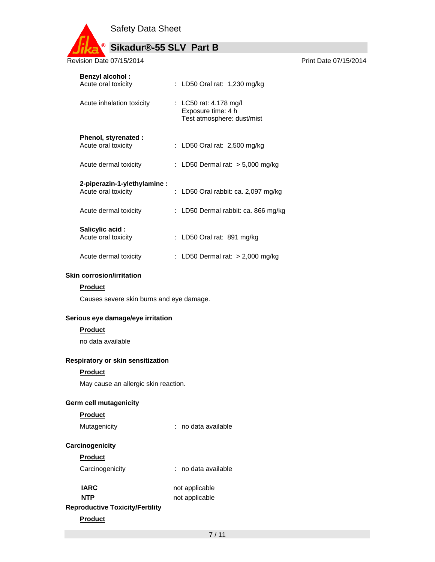Safety Data Sheet

# **Sikadur®-55 SLV Part B**

Revision Date 07/15/2014 **Revision Date 07/15/2014** 

| <b>Benzyl alcohol:</b><br>Acute oral toxicity | : LD50 Oral rat: 1,230 mg/kg                                               |
|-----------------------------------------------|----------------------------------------------------------------------------|
| Acute inhalation toxicity                     | : LC50 rat: 4.178 mg/l<br>Exposure time: 4 h<br>Test atmosphere: dust/mist |
| Phenol, styrenated :                          |                                                                            |
| Acute oral toxicity                           | : LD50 Oral rat: $2,500$ mg/kg                                             |
|                                               |                                                                            |
| Acute dermal toxicity                         | : LD50 Dermal rat: $>$ 5,000 mg/kg                                         |
| 2-piperazin-1-ylethylamine:                   |                                                                            |
| Acute oral toxicity                           | : LD50 Oral rabbit: ca. 2,097 mg/kg                                        |
|                                               |                                                                            |
| Acute dermal toxicity                         | : LD50 Dermal rabbit: ca. 866 mg/kg                                        |
|                                               |                                                                            |
| Salicylic acid:<br>Acute oral toxicity        | : LD50 Oral rat: 891 mg/kg                                                 |
|                                               |                                                                            |
| Acute dermal toxicity                         | : LD50 Dermal rat: $> 2,000$ mg/kg                                         |

## **Skin corrosion/irritation**

### **Product**

Causes severe skin burns and eye damage.

## **Serious eye damage/eye irritation**

# **Product**

no data available

# **Respiratory or skin sensitization**

### **Product**

May cause an allergic skin reaction.

### **Germ cell mutagenicity**

# **Product**

Mutagenicity **interest and a set of the State Austic** contact and a vailable

# **Carcinogenicity**

# **Product**

Carcinogenicity : no data available

**IARC** not applicable

# **NTP** not applicable **Reproductive Toxicity/Fertility**

# **Product**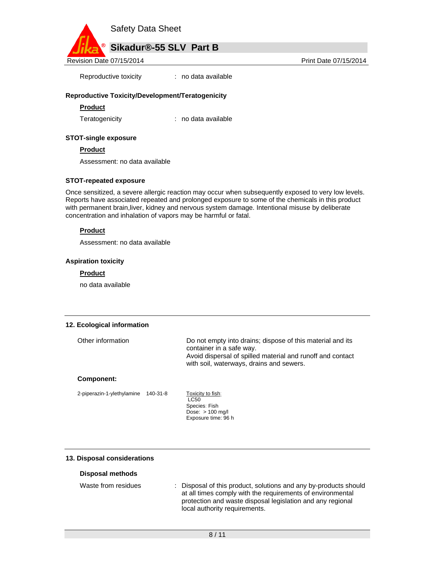

Reproductive toxicity : no data available

### **Reproductive Toxicity/Development/Teratogenicity**

#### **Product**

Teratogenicity : no data available

#### **STOT-single exposure**

**Product** 

Assessment: no data available

#### **STOT-repeated exposure**

Once sensitized, a severe allergic reaction may occur when subsequently exposed to very low levels. Reports have associated repeated and prolonged exposure to some of the chemicals in this product with permanent brain,liver, kidney and nervous system damage. Intentional misuse by deliberate concentration and inhalation of vapors may be harmful or fatal.

### **Product**

Assessment: no data available

#### **Aspiration toxicity**

#### **Product**

no data available

#### **12. Ecological information**

| Other information | Do not empty into drains; dispose of this material and its<br>container in a safe way.<br>Avoid dispersal of spilled material and runoff and contact<br>with soil, waterways, drains and sewers. |
|-------------------|--------------------------------------------------------------------------------------------------------------------------------------------------------------------------------------------------|
|                   |                                                                                                                                                                                                  |

## **Component:**

2-piperazin-1-ylethylamine 140-31-8 Toxicity to fish:

LC<sub>50</sub> Species: Fish Dose: > 100 mg/l Exposure time: 96 h

#### **13. Disposal considerations**

#### **Disposal methods**

| Waste from residues | : Disposal of this product, solutions and any by-products should |  |
|---------------------|------------------------------------------------------------------|--|
|                     | at all times comply with the requirements of environmental       |  |
|                     | protection and waste disposal legislation and any regional       |  |
|                     | local authority requirements.                                    |  |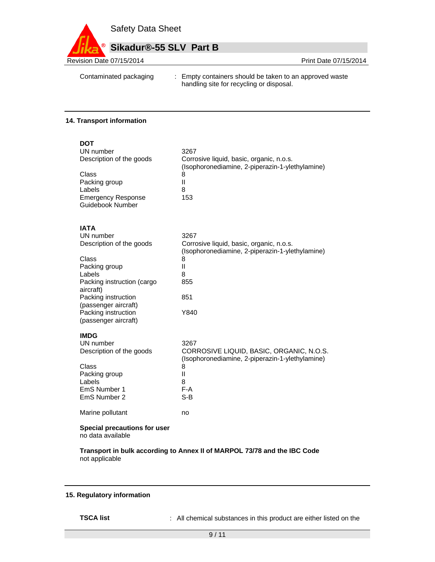

Contaminated packaging : Empty containers should be taken to an approved waste handling site for recycling or disposal.

#### **14. Transport information**

| <b>DOT</b>                                        |                                                                                             |
|---------------------------------------------------|---------------------------------------------------------------------------------------------|
| UN number                                         | 3267                                                                                        |
| Description of the goods                          | Corrosive liquid, basic, organic, n.o.s.<br>(Isophoronediamine, 2-piperazin-1-ylethylamine) |
| Class                                             | 8                                                                                           |
| Packing group                                     | Ш                                                                                           |
| Labels                                            | 8                                                                                           |
| <b>Emergency Response</b>                         | 153                                                                                         |
| Guidebook Number                                  |                                                                                             |
| <b>IATA</b>                                       |                                                                                             |
| UN number                                         | 3267                                                                                        |
| Description of the goods                          | Corrosive liquid, basic, organic, n.o.s.<br>(Isophoronediamine, 2-piperazin-1-ylethylamine) |
| Class                                             | 8                                                                                           |
| Packing group                                     | $\mathbf{I}$                                                                                |
| Labels                                            | 8                                                                                           |
| Packing instruction (cargo<br>aircraft)           | 855                                                                                         |
| Packing instruction                               | 851                                                                                         |
| (passenger aircraft)                              |                                                                                             |
| Packing instruction                               | Y840                                                                                        |
| (passenger aircraft)                              |                                                                                             |
| <b>IMDG</b>                                       |                                                                                             |
| UN number                                         | 3267                                                                                        |
| Description of the goods                          | CORROSIVE LIQUID, BASIC, ORGANIC, N.O.S.<br>(Isophoronediamine, 2-piperazin-1-ylethylamine) |
| Class                                             | 8                                                                                           |
| Packing group                                     | Ш                                                                                           |
| Labels                                            | 8                                                                                           |
| EmS Number 1                                      | $F-A$                                                                                       |
| EmS Number 2                                      | $S-B$                                                                                       |
| Marine pollutant                                  | no                                                                                          |
| Special precautions for user<br>no data available |                                                                                             |
|                                                   |                                                                                             |

**Transport in bulk according to Annex II of MARPOL 73/78 and the IBC Code**  not applicable

## **15. Regulatory information**

**TSCA list** : All chemical substances in this product are either listed on the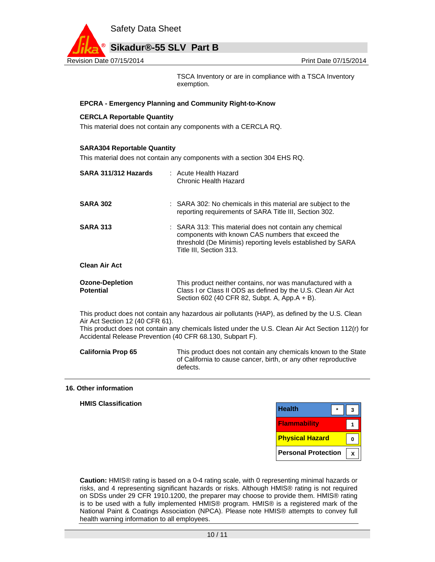

TSCA Inventory or are in compliance with a TSCA Inventory exemption.

### **EPCRA - Emergency Planning and Community Right-to-Know**

#### **CERCLA Reportable Quantity**

This material does not contain any components with a CERCLA RQ.

#### **SARA304 Reportable Quantity**

This material does not contain any components with a section 304 EHS RQ.

defects.

| SARA 311/312 Hazards                                                                                                                                                                                                                                                                                 | : Acute Health Hazard<br>Chronic Health Hazard                                                                                                                                                         |  |  |
|------------------------------------------------------------------------------------------------------------------------------------------------------------------------------------------------------------------------------------------------------------------------------------------------------|--------------------------------------------------------------------------------------------------------------------------------------------------------------------------------------------------------|--|--|
| <b>SARA 302</b>                                                                                                                                                                                                                                                                                      | : SARA 302: No chemicals in this material are subject to the<br>reporting requirements of SARA Title III, Section 302.                                                                                 |  |  |
| <b>SARA 313</b>                                                                                                                                                                                                                                                                                      | : SARA 313: This material does not contain any chemical<br>components with known CAS numbers that exceed the<br>threshold (De Minimis) reporting levels established by SARA<br>Title III, Section 313. |  |  |
| <b>Clean Air Act</b>                                                                                                                                                                                                                                                                                 |                                                                                                                                                                                                        |  |  |
| <b>Ozone-Depletion</b><br><b>Potential</b>                                                                                                                                                                                                                                                           | This product neither contains, nor was manufactured with a<br>Class I or Class II ODS as defined by the U.S. Clean Air Act<br>Section 602 (40 CFR 82, Subpt. A, App.A + B).                            |  |  |
| This product does not contain any hazardous air pollutants (HAP), as defined by the U.S. Clean<br>Air Act Section 12 (40 CFR 61).<br>This product does not contain any chemicals listed under the U.S. Clean Air Act Section 112(r) for<br>Accidental Release Prevention (40 CFR 68.130, Subpart F). |                                                                                                                                                                                                        |  |  |
| <b>California Prop 65</b><br>This product does not contain any chemicals known to the State<br>of California to cause cancer, birth, or any other reproductive                                                                                                                                       |                                                                                                                                                                                                        |  |  |

#### **16. Other information**

| <b>Health</b><br>$\star$ | 3            |                            |
|--------------------------|--------------|----------------------------|
| Flammability             | $\mathbf{1}$ |                            |
| <b>Physical Hazard</b>   | $\mathbf{0}$ |                            |
|                          | $\mathbf{x}$ |                            |
|                          |              | <b>Personal Protection</b> |

**Caution:** HMIS® rating is based on a 0-4 rating scale, with 0 representing minimal hazards or risks, and 4 representing significant hazards or risks. Although HMIS® rating is not required on SDSs under 29 CFR 1910.1200, the preparer may choose to provide them. HMIS® rating is to be used with a fully implemented HMIS® program. HMIS® is a registered mark of the National Paint & Coatings Association (NPCA). Please note HMIS® attempts to convey full health warning information to all employees.